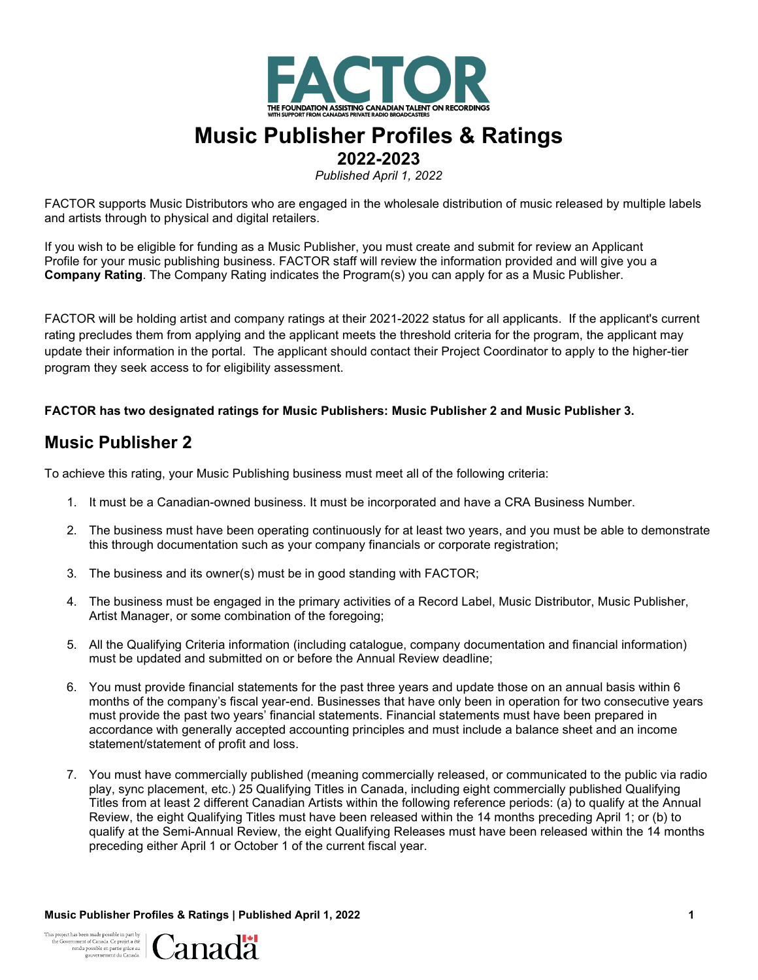

# **Music Publisher Profiles & Ratings**

**2022-2023**

*Published April 1, 2022*

FACTOR supports Music Distributors who are engaged in the wholesale distribution of music released by multiple labels and artists through to physical and digital retailers.

If you wish to be eligible for funding as a Music Publisher, you must create and submit for review an Applicant Profile for your music publishing business. FACTOR staff will review the information provided and will give you a **Company Rating**. The Company Rating indicates the Program(s) you can apply for as a Music Publisher.

FACTOR will be holding artist and company ratings at their 2021-2022 status for all applicants. If the applicant's current rating precludes them from applying and the applicant meets the threshold criteria for the program, the applicant may update their information in the portal. The applicant should contact their Project Coordinator to apply to the higher-tier program they seek access to for eligibility assessment.

#### **FACTOR has two designated ratings for Music Publishers: Music Publisher 2 and Music Publisher 3.**

## **Music Publisher 2**

To achieve this rating, your Music Publishing business must meet all of the following criteria:

- 1. It must be a Canadian-owned business. It must be incorporated and have a CRA Business Number.
- 2. The business must have been operating continuously for at least two years, and you must be able to demonstrate this through documentation such as your company financials or corporate registration;
- 3. The business and its owner(s) must be in good standing with FACTOR;
- 4. The business must be engaged in the primary activities of a Record Label, Music Distributor, Music Publisher, Artist Manager, or some combination of the foregoing;
- 5. All the Qualifying Criteria information (including catalogue, company documentation and financial information) must be updated and submitted on or before the Annual Review deadline;
- 6. You must provide financial statements for the past three years and update those on an annual basis within 6 months of the company's fiscal year-end. Businesses that have only been in operation for two consecutive years must provide the past two years' financial statements. Financial statements must have been prepared in accordance with generally accepted accounting principles and must include a balance sheet and an income statement/statement of profit and loss.
- 7. You must have commercially published (meaning commercially released, or communicated to the public via radio play, sync placement, etc.) 25 Qualifying Titles in Canada, including eight commercially published Qualifying Titles from at least 2 different Canadian Artists within the following reference periods: (a) to qualify at the Annual Review, the eight Qualifying Titles must have been released within the 14 months preceding April 1; or (b) to qualify at the Semi-Annual Review, the eight Qualifying Releases must have been released within the 14 months preceding either April 1 or October 1 of the current fiscal year.

**Music Publisher Profiles & Ratings | Published April 1, 2022 1**